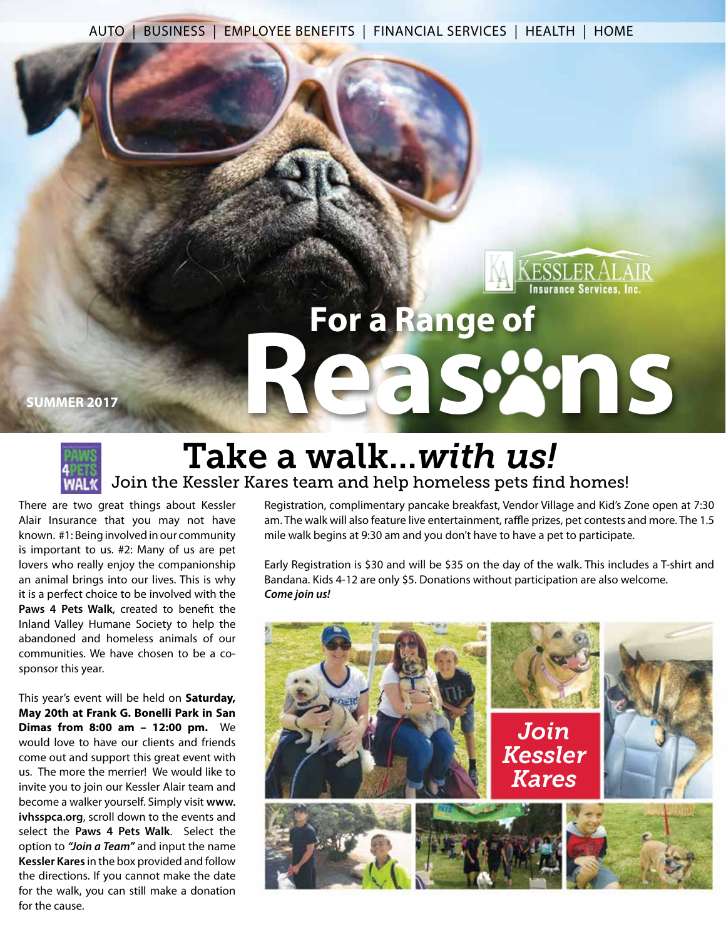AUTO | BUSINESS | EMPLOYEE BENEFITS | FINANCIAL SERVICES | HEALTH | HOME

# **ESSLER ALAIR**<br>Insurance Services, Inc. **For a Range of Reas SECTIS**



# Take a walk...*with us!* Join the Kessler Kares team and help homeless pets find homes!

There are two great things about Kessler Alair Insurance that you may not have known. #1: Being involved in our community is important to us. #2: Many of us are pet lovers who really enjoy the companionship an animal brings into our lives. This is why it is a perfect choice to be involved with the **Paws 4 Pets Walk**, created to benefit the Inland Valley Humane Society to help the abandoned and homeless animals of our communities. We have chosen to be a cosponsor this year.

This year's event will be held on **Saturday, May 20th at Frank G. Bonelli Park in San Dimas from 8:00 am – 12:00 pm.** We would love to have our clients and friends come out and support this great event with us. The more the merrier! We would like to invite you to join our Kessler Alair team and become a walker yourself. Simply visit **www. ivhsspca.org**, scroll down to the events and select the **Paws 4 Pets Walk**. Select the option to *"Join a Team"* and input the name **Kessler Kares** in the box provided and follow the directions. If you cannot make the date for the walk, you can still make a donation for the cause.

Registration, complimentary pancake breakfast, Vendor Village and Kid's Zone open at 7:30 am. The walk will also feature live entertainment, raffle prizes, pet contests and more. The 1.5 mile walk begins at 9:30 am and you don't have to have a pet to participate.

Early Registration is \$30 and will be \$35 on the day of the walk. This includes a T-shirt and Bandana. Kids 4-12 are only \$5. Donations without participation are also welcome. *Come join us!*

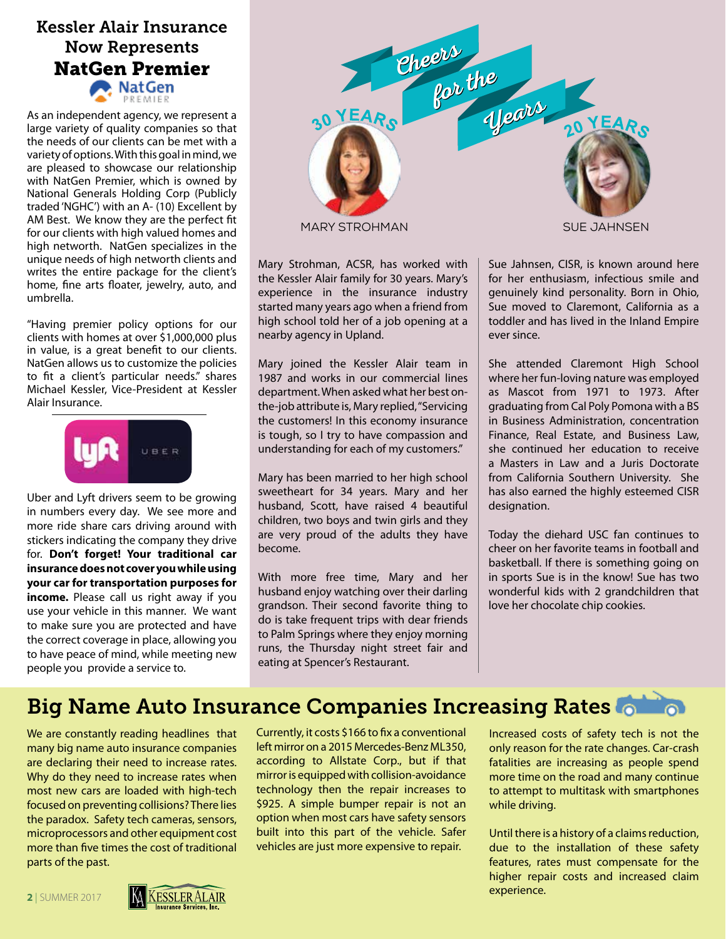### Kessler Alair Insurance Now Represents NatGen Premier ∙ NatGen

As an independent agency, we represent a large variety of quality companies so that the needs of our clients can be met with a variety of options. With this goal in mind, we are pleased to showcase our relationship with NatGen Premier, which is owned by National Generals Holding Corp (Publicly traded 'NGHC') with an A- (10) Excellent by AM Best. We know they are the perfect fit for our clients with high valued homes and high networth. NatGen specializes in the unique needs of high networth clients and writes the entire package for the client's home, fine arts floater, jewelry, auto, and umbrella.

"Having premier policy options for our clients with homes at over \$1,000,000 plus in value, is a great benefit to our clients. NatGen allows us to customize the policies to fit a client's particular needs." shares Michael Kessler, Vice-President at Kessler Alair Insurance.



Uber and Lyft drivers seem to be growing in numbers every day. We see more and more ride share cars driving around with stickers indicating the company they drive for. **Don't forget! Your traditional car insurance does not cover you while using your car for transportation purposes for income.** Please call us right away if you use your vehicle in this manner. We want to make sure you are protected and have the correct coverage in place, allowing you to have peace of mind, while meeting new people you provide a service to.



MARY STROHMAN SUE JAHNSEN

Mary Strohman, ACSR, has worked with the Kessler Alair family for 30 years. Mary's experience in the insurance industry started many years ago when a friend from high school told her of a job opening at a nearby agency in Upland.

Mary joined the Kessler Alair team in 1987 and works in our commercial lines department. When asked what her best onthe-job attribute is, Mary replied, "Servicing the customers! In this economy insurance is tough, so I try to have compassion and understanding for each of my customers."

Mary has been married to her high school sweetheart for 34 years. Mary and her husband, Scott, have raised 4 beautiful children, two boys and twin girls and they are very proud of the adults they have become.

With more free time, Mary and her husband enjoy watching over their darling grandson. Their second favorite thing to do is take frequent trips with dear friends to Palm Springs where they enjoy morning runs, the Thursday night street fair and eating at Spencer's Restaurant.

Sue Jahnsen, CISR, is known around here for her enthusiasm, infectious smile and genuinely kind personality. Born in Ohio, Sue moved to Claremont, California as a toddler and has lived in the Inland Empire ever since.

She attended Claremont High School where her fun-loving nature was employed as Mascot from 1971 to 1973. After graduating from Cal Poly Pomona with a BS in Business Administration, concentration Finance, Real Estate, and Business Law, she continued her education to receive a Masters in Law and a Juris Doctorate from California Southern University. She has also earned the highly esteemed CISR designation.

Today the diehard USC fan continues to cheer on her favorite teams in football and basketball. If there is something going on in sports Sue is in the know! Sue has two wonderful kids with 2 grandchildren that love her chocolate chip cookies.

# Big Name Auto Insurance Companies Increasing Rates **Companies**

We are constantly reading headlines that many big name auto insurance companies are declaring their need to increase rates. Why do they need to increase rates when most new cars are loaded with high-tech focused on preventing collisions? There lies the paradox. Safety tech cameras, sensors, microprocessors and other equipment cost more than five times the cost of traditional parts of the past.

Currently, it costs \$166 to fix a conventional left mirror on a 2015 Mercedes-Benz ML350, according to Allstate Corp., but if that mirror is equipped with collision-avoidance technology then the repair increases to \$925. A simple bumper repair is not an option when most cars have safety sensors built into this part of the vehicle. Safer vehicles are just more expensive to repair.

Increased costs of safety tech is not the only reason for the rate changes. Car-crash fatalities are increasing as people spend more time on the road and many continue to attempt to multitask with smartphones while driving.

Until there is a history of a claims reduction, due to the installation of these safety features, rates must compensate for the higher repair costs and increased claim experience.

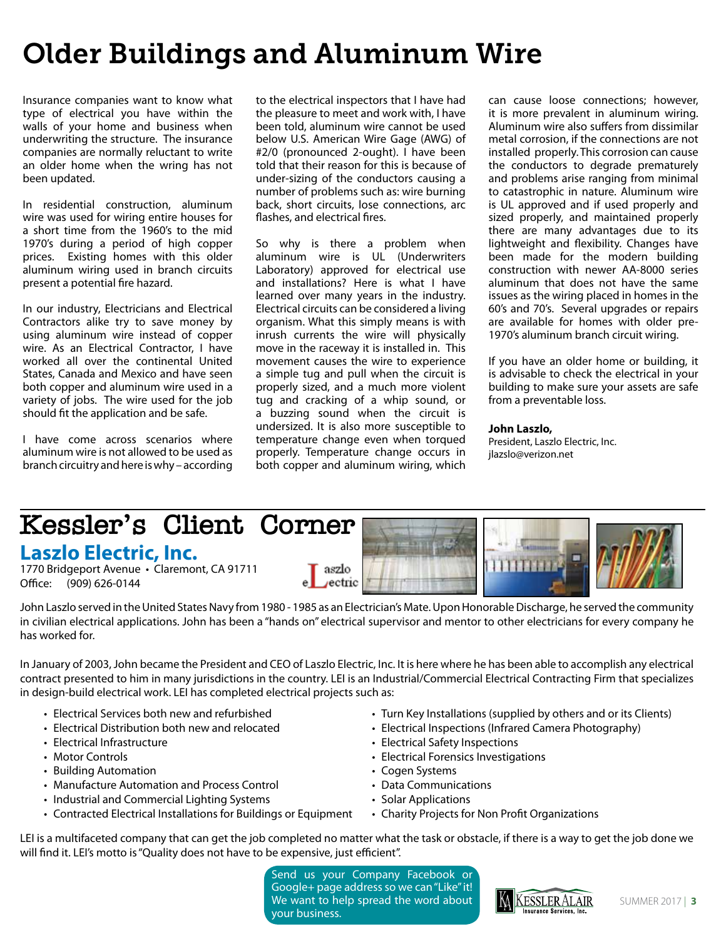# Older Buildings and Aluminum Wire

Insurance companies want to know what type of electrical you have within the walls of your home and business when underwriting the structure. The insurance companies are normally reluctant to write an older home when the wring has not been updated.

In residential construction, aluminum wire was used for wiring entire houses for a short time from the 1960's to the mid 1970's during a period of high copper prices. Existing homes with this older aluminum wiring used in branch circuits present a potential fire hazard.

In our industry, Electricians and Electrical Contractors alike try to save money by using aluminum wire instead of copper wire. As an Electrical Contractor, I have worked all over the continental United States, Canada and Mexico and have seen both copper and aluminum wire used in a variety of jobs. The wire used for the job should fit the application and be safe.

I have come across scenarios where aluminum wire is not allowed to be used as branch circuitry and here is why – according to the electrical inspectors that I have had the pleasure to meet and work with, I have been told, aluminum wire cannot be used below U.S. American Wire Gage (AWG) of #2/0 (pronounced 2-ought). I have been told that their reason for this is because of under-sizing of the conductors causing a number of problems such as: wire burning back, short circuits, lose connections, arc flashes, and electrical fires.

So why is there a problem when aluminum wire is UL (Underwriters Laboratory) approved for electrical use and installations? Here is what I have learned over many years in the industry. Electrical circuits can be considered a living organism. What this simply means is with inrush currents the wire will physically move in the raceway it is installed in. This movement causes the wire to experience a simple tug and pull when the circuit is properly sized, and a much more violent tug and cracking of a whip sound, or a buzzing sound when the circuit is undersized. It is also more susceptible to temperature change even when torqued properly. Temperature change occurs in both copper and aluminum wiring, which

can cause loose connections; however, it is more prevalent in aluminum wiring. Aluminum wire also suffers from dissimilar metal corrosion, if the connections are not installed properly. This corrosion can cause the conductors to degrade prematurely and problems arise ranging from minimal to catastrophic in nature. Aluminum wire is UL approved and if used properly and sized properly, and maintained properly there are many advantages due to its lightweight and flexibility. Changes have been made for the modern building construction with newer AA-8000 series aluminum that does not have the same issues as the wiring placed in homes in the 60's and 70's. Several upgrades or repairs are available for homes with older pre-1970's aluminum branch circuit wiring.

If you have an older home or building, it is advisable to check the electrical in your building to make sure your assets are safe from a preventable loss.

**John Laszlo,** President, Laszlo Electric, Inc. jlazslo@verizon.net

#### **Kessler's Client Corner Laszlo Electric, Inc.** 111111111 1770 Bridgeport Avenue · Claremont, CA 91711 aszlo ectric

Office: (909) 626-0144

John Laszlo served in the United States Navy from 1980 - 1985 as an Electrician's Mate. Upon Honorable Discharge, he served the community in civilian electrical applications. John has been a "hands on" electrical supervisor and mentor to other electricians for every company he has worked for.

In January of 2003, John became the President and CEO of Laszlo Electric, Inc. It is here where he has been able to accomplish any electrical contract presented to him in many jurisdictions in the country. LEI is an Industrial/Commercial Electrical Contracting Firm that specializes in design-build electrical work. LEI has completed electrical projects such as:

- Electrical Services both new and refurbished
- Electrical Distribution both new and relocated
- Electrical Infrastructure
- Motor Controls
- Building Automation
- Manufacture Automation and Process Control
- Industrial and Commercial Lighting Systems
- Contracted Electrical Installations for Buildings or Equipment
- Turn Key Installations (supplied by others and or its Clients)
- Electrical Inspections (Infrared Camera Photography)
- Electrical Safety Inspections
- Electrical Forensics Investigations
- Cogen Systems
- Data Communications
- Solar Applications
- Charity Projects for Non Profit Organizations

LEI is a multifaceted company that can get the job completed no matter what the task or obstacle, if there is a way to get the job done we will find it. LEI's motto is "Quality does not have to be expensive, just efficient".

> Send us your Company Facebook or Google+ page address so we can "Like" it! We want to help spread the word about your business.